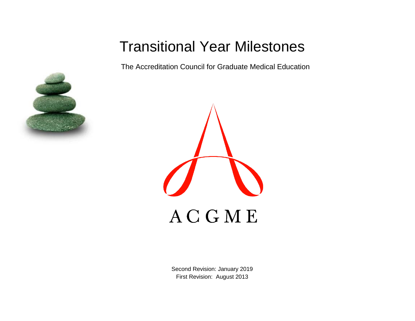# Transitional Year Milestones

The Accreditation Council for Graduate Medical Education





Second Revision: January 2019 First Revision: August 2013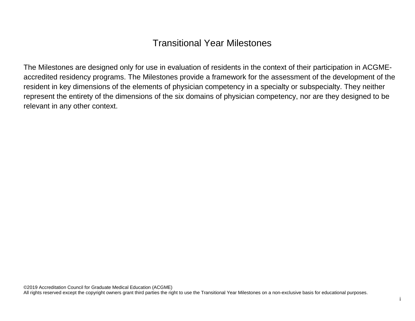## Transitional Year Milestones

The Milestones are designed only for use in evaluation of residents in the context of their participation in ACGMEaccredited residency programs. The Milestones provide a framework for the assessment of the development of the resident in key dimensions of the elements of physician competency in a specialty or subspecialty. They neither represent the entirety of the dimensions of the six domains of physician competency, nor are they designed to be relevant in any other context.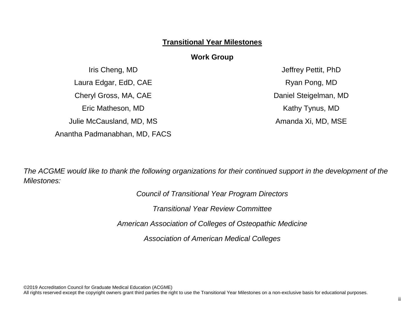#### **Transitional Year Milestones**

#### **Work Group**

Iris Cheng, MD Laura Edgar, EdD, CAE Cheryl Gross, MA, CAE Eric Matheson, MD Julie McCausland, MD, MS Anantha Padmanabhan, MD, FACS

Jeffrey Pettit, PhD Ryan Pong, MD Daniel Steigelman, MD Kathy Tynus, MD Amanda Xi, MD, MSE

*The ACGME would like to thank the following organizations for their continued support in the development of the Milestones:*

*Council of Transitional Year Program Directors*

*Transitional Year Review Committee*

*American Association of Colleges of Osteopathic Medicine*

*Association of American Medical Colleges* 

©2019 Accreditation Council for Graduate Medical Education (ACGME)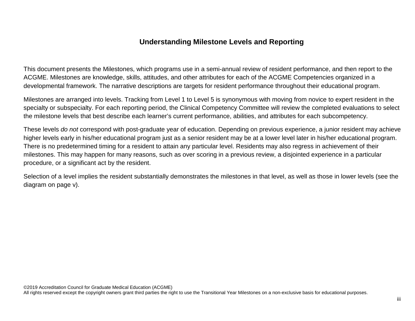### **Understanding Milestone Levels and Reporting**

This document presents the Milestones, which programs use in a semi-annual review of resident performance, and then report to the ACGME. Milestones are knowledge, skills, attitudes, and other attributes for each of the ACGME Competencies organized in a developmental framework. The narrative descriptions are targets for resident performance throughout their educational program.

Milestones are arranged into levels. Tracking from Level 1 to Level 5 is synonymous with moving from novice to expert resident in the specialty or subspecialty. For each reporting period, the Clinical Competency Committee will review the completed evaluations to select the milestone levels that best describe each learner's current performance, abilities, and attributes for each subcompetency.

These levels *do not* correspond with post-graduate year of education. Depending on previous experience, a junior resident may achieve higher levels early in his/her educational program just as a senior resident may be at a lower level later in his/her educational program. There is no predetermined timing for a resident to attain any particular level. Residents may also regress in achievement of their milestones. This may happen for many reasons, such as over scoring in a previous review, a disjointed experience in a particular procedure, or a significant act by the resident.

Selection of a level implies the resident substantially demonstrates the milestones in that level, as well as those in lower levels (see the diagram on page v).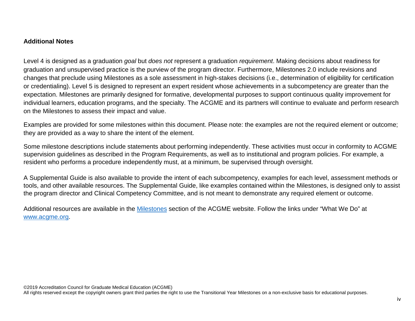#### **Additional Notes**

Level 4 is designed as a graduation *goal* but *does not* represent a graduation *requirement*. Making decisions about readiness for graduation and unsupervised practice is the purview of the program director. Furthermore, Milestones 2.0 include revisions and changes that preclude using Milestones as a sole assessment in high-stakes decisions (i.e., determination of eligibility for certification or credentialing). Level 5 is designed to represent an expert resident whose achievements in a subcompetency are greater than the expectation. Milestones are primarily designed for formative, developmental purposes to support continuous quality improvement for individual learners, education programs, and the specialty. The ACGME and its partners will continue to evaluate and perform research on the Milestones to assess their impact and value.

Examples are provided for some milestones within this document. Please note: the examples are not the required element or outcome; they are provided as a way to share the intent of the element.

Some milestone descriptions include statements about performing independently. These activities must occur in conformity to ACGME supervision guidelines as described in the Program Requirements, as well as to institutional and program policies. For example, a resident who performs a procedure independently must, at a minimum, be supervised through oversight.

A Supplemental Guide is also available to provide the intent of each subcompetency, examples for each level, assessment methods or tools, and other available resources. The Supplemental Guide, like examples contained within the Milestones, is designed only to assist the program director and Clinical Competency Committee, and is not meant to demonstrate any required element or outcome.

Additional resources are available in the [Milestones](http://www.acgme.org/What-We-Do/Accreditation/Milestones/Overview) section of the ACGME website. Follow the links under "What We Do" at [www.acgme.org.](http://www.acgme.org/)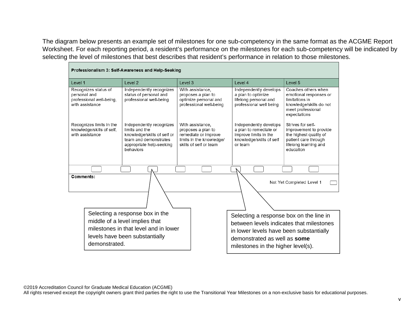The diagram below presents an example set of milestones for one sub-competency in the same format as the ACGME Report Worksheet. For each reporting period, a resident's performance on the milestones for each sub-competency will be indicated by selecting the level of milestones that best describes that resident's performance in relation to those milestones.

| Professionalism 3: Self-Awareness and Help-Seeking                                  |                                                                                                                                             |                                                                                                                      |                                                                                                                  |                                                                                                                                     |  |
|-------------------------------------------------------------------------------------|---------------------------------------------------------------------------------------------------------------------------------------------|----------------------------------------------------------------------------------------------------------------------|------------------------------------------------------------------------------------------------------------------|-------------------------------------------------------------------------------------------------------------------------------------|--|
| Level 1                                                                             | Level 2                                                                                                                                     | Level 3                                                                                                              | Level 4                                                                                                          | Level 5                                                                                                                             |  |
| Recognizes status of<br>personal and<br>professional well-being,<br>with assistance | Independently recognizes<br>status of personal and<br>professional well-being                                                               | With assistance,<br>proposes a plan to<br>optimize personal and<br>professional well-being                           | Independently develops<br>a plan to optimize<br>lifelong personal and<br>professional well being                 | Coaches others when<br>emotional responses or<br>limitations in<br>knowledge/skills do not<br>meet professional<br>expectations     |  |
| Recognizes limits in the<br>knowledge/skills of self,<br>with assistance            | Independently recognizes<br>limits and the<br>knowledge/skills of self or<br>team and demonstrates<br>appropriate help-seeking<br>behaviors | With assistance.<br>proposes a plan to<br>remediate or improve<br>limits in the knowledge/<br>skills of self or team | Independently develops<br>a plan to remediate or<br>improve limits in the<br>knowledge/skills of self<br>or team | Strives for self-<br>improvement to provide<br>the highest quality of<br>patient care through<br>lifelong learning and<br>education |  |
|                                                                                     |                                                                                                                                             |                                                                                                                      |                                                                                                                  |                                                                                                                                     |  |
| Comments:                                                                           |                                                                                                                                             |                                                                                                                      |                                                                                                                  | Not Yet Completed Level 1                                                                                                           |  |
|                                                                                     |                                                                                                                                             |                                                                                                                      |                                                                                                                  |                                                                                                                                     |  |
|                                                                                     | Selecting a response box in the                                                                                                             |                                                                                                                      | Selecting a response box on the line in                                                                          |                                                                                                                                     |  |
|                                                                                     | middle of a level implies that                                                                                                              |                                                                                                                      |                                                                                                                  | between levels indicates that milestones                                                                                            |  |
|                                                                                     | milestones in that level and in lower<br>levels have been substantially                                                                     |                                                                                                                      | in lower levels have been substantially                                                                          |                                                                                                                                     |  |
| demonstrated.                                                                       |                                                                                                                                             |                                                                                                                      | demonstrated as well as some                                                                                     |                                                                                                                                     |  |
|                                                                                     |                                                                                                                                             |                                                                                                                      | milestones in the higher level(s).                                                                               |                                                                                                                                     |  |

©2019 Accreditation Council for Graduate Medical Education (ACGME)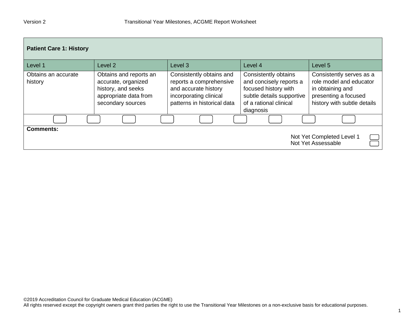| <b>Patient Care 1: History</b> |                                                                                                                   |                                                                                                                                      |                                                                                                                                             |                                                                                                                                |
|--------------------------------|-------------------------------------------------------------------------------------------------------------------|--------------------------------------------------------------------------------------------------------------------------------------|---------------------------------------------------------------------------------------------------------------------------------------------|--------------------------------------------------------------------------------------------------------------------------------|
| Level 1                        | Level 2                                                                                                           | Level <sub>3</sub>                                                                                                                   | Level 4                                                                                                                                     | Level 5                                                                                                                        |
| Obtains an accurate<br>history | Obtains and reports an<br>accurate, organized<br>history, and seeks<br>appropriate data from<br>secondary sources | Consistently obtains and<br>reports a comprehensive<br>and accurate history<br>incorporating clinical<br>patterns in historical data | Consistently obtains<br>and concisely reports a<br>focused history with<br>subtle details supportive<br>of a rational clinical<br>diagnosis | Consistently serves as a<br>role model and educator<br>in obtaining and<br>presenting a focused<br>history with subtle details |
|                                |                                                                                                                   |                                                                                                                                      |                                                                                                                                             |                                                                                                                                |
| <b>Comments:</b>               |                                                                                                                   |                                                                                                                                      |                                                                                                                                             | Not Yet Completed Level 1<br>Not Yet Assessable                                                                                |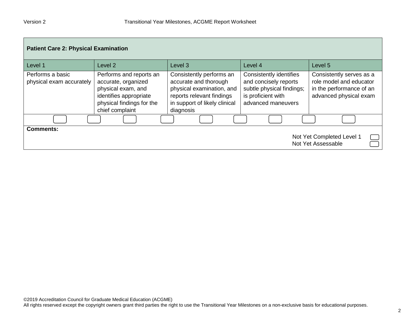| <b>Patient Care 2: Physical Examination</b>  |                                                                                                                                                |                                                                                                                                                           |                                                                                                                                  |                                                                                                           |  |
|----------------------------------------------|------------------------------------------------------------------------------------------------------------------------------------------------|-----------------------------------------------------------------------------------------------------------------------------------------------------------|----------------------------------------------------------------------------------------------------------------------------------|-----------------------------------------------------------------------------------------------------------|--|
| Level 1                                      | Level 2                                                                                                                                        | Level 3                                                                                                                                                   | Level 4                                                                                                                          | Level 5                                                                                                   |  |
| Performs a basic<br>physical exam accurately | Performs and reports an<br>accurate, organized<br>physical exam, and<br>identifies appropriate<br>physical findings for the<br>chief complaint | Consistently performs an<br>accurate and thorough<br>physical examination, and<br>reports relevant findings<br>in support of likely clinical<br>diagnosis | <b>Consistently identifies</b><br>and concisely reports<br>subtle physical findings;<br>is proficient with<br>advanced maneuvers | Consistently serves as a<br>role model and educator<br>in the performance of an<br>advanced physical exam |  |
|                                              |                                                                                                                                                |                                                                                                                                                           |                                                                                                                                  |                                                                                                           |  |
| <b>Comments:</b>                             |                                                                                                                                                |                                                                                                                                                           |                                                                                                                                  | Not Yet Completed Level 1<br>Not Yet Assessable                                                           |  |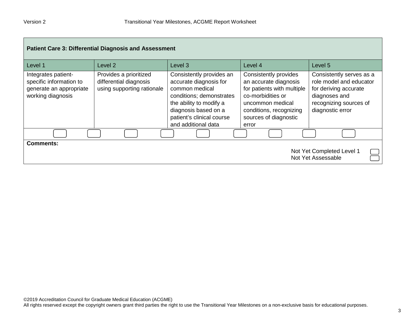| <b>Patient Care 3: Differential Diagnosis and Assessment</b>                                   |                                                                                |                                                                                                                                                                                                         |                                                                                                                                                                                    |                                                                                                                                             |
|------------------------------------------------------------------------------------------------|--------------------------------------------------------------------------------|---------------------------------------------------------------------------------------------------------------------------------------------------------------------------------------------------------|------------------------------------------------------------------------------------------------------------------------------------------------------------------------------------|---------------------------------------------------------------------------------------------------------------------------------------------|
| Level 1                                                                                        | Level 2                                                                        | Level 3                                                                                                                                                                                                 | Level 4                                                                                                                                                                            | Level <sub>5</sub>                                                                                                                          |
| Integrates patient-<br>specific information to<br>generate an appropriate<br>working diagnosis | Provides a prioritized<br>differential diagnosis<br>using supporting rationale | Consistently provides an<br>accurate diagnosis for<br>common medical<br>conditions; demonstrates<br>the ability to modify a<br>diagnosis based on a<br>patient's clinical course<br>and additional data | Consistently provides<br>an accurate diagnosis<br>for patients with multiple<br>co-morbidities or<br>uncommon medical<br>conditions, recognizing<br>sources of diagnostic<br>error | Consistently serves as a<br>role model and educator<br>for deriving accurate<br>diagnoses and<br>recognizing sources of<br>diagnostic error |
|                                                                                                |                                                                                |                                                                                                                                                                                                         |                                                                                                                                                                                    |                                                                                                                                             |
| <b>Comments:</b>                                                                               |                                                                                |                                                                                                                                                                                                         |                                                                                                                                                                                    | Not Yet Completed Level 1<br>Not Yet Assessable                                                                                             |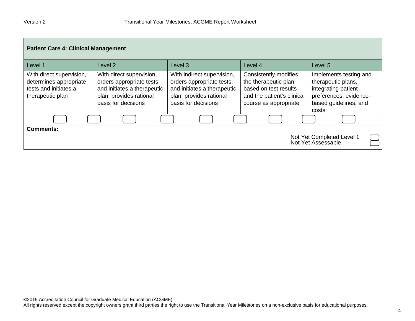| <b>Patient Care 4: Clinical Management</b>                                                      |                                                                                                                                        |                                                                                                                                          |                                                                                                                               |                                                                                                                                 |  |
|-------------------------------------------------------------------------------------------------|----------------------------------------------------------------------------------------------------------------------------------------|------------------------------------------------------------------------------------------------------------------------------------------|-------------------------------------------------------------------------------------------------------------------------------|---------------------------------------------------------------------------------------------------------------------------------|--|
| Level 1                                                                                         | Level 2                                                                                                                                | Level 3                                                                                                                                  | Level 4                                                                                                                       | Level 5                                                                                                                         |  |
| With direct supervision,<br>determines appropriate<br>tests and initiates a<br>therapeutic plan | With direct supervision,<br>orders appropriate tests,<br>and initiates a therapeutic<br>plan; provides rational<br>basis for decisions | With indirect supervision,<br>orders appropriate tests,<br>and initiates a therapeutic<br>plan; provides rational<br>basis for decisions | Consistently modifies<br>the therapeutic plan<br>based on test results<br>and the patient's clinical<br>course as appropriate | Implements testing and<br>therapeutic plans,<br>integrating patient<br>preferences, evidence-<br>based guidelines, and<br>costs |  |
|                                                                                                 |                                                                                                                                        |                                                                                                                                          |                                                                                                                               |                                                                                                                                 |  |
| <b>Comments:</b>                                                                                |                                                                                                                                        |                                                                                                                                          |                                                                                                                               | Not Yet Completed Level 1<br>Not Yet Assessable                                                                                 |  |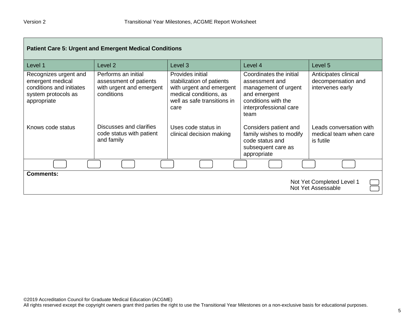┍

| <b>Patient Care 5: Urgent and Emergent Medical Conditions</b>                                               |                                                                                         |                                                                                                                                            |                                                                                                                                            |                                                                |
|-------------------------------------------------------------------------------------------------------------|-----------------------------------------------------------------------------------------|--------------------------------------------------------------------------------------------------------------------------------------------|--------------------------------------------------------------------------------------------------------------------------------------------|----------------------------------------------------------------|
| Level 1                                                                                                     | Level 2                                                                                 | Level 3                                                                                                                                    | Level 4                                                                                                                                    | Level 5                                                        |
| Recognizes urgent and<br>emergent medical<br>conditions and initiates<br>system protocols as<br>appropriate | Performs an initial<br>assessment of patients<br>with urgent and emergent<br>conditions | Provides initial<br>stabilization of patients<br>with urgent and emergent<br>medical conditions, as<br>well as safe transitions in<br>care | Coordinates the initial<br>assessment and<br>management of urgent<br>and emergent<br>conditions with the<br>interprofessional care<br>team | Anticipates clinical<br>decompensation and<br>intervenes early |
| Knows code status                                                                                           | Discusses and clarifies<br>code status with patient<br>and family                       | Uses code status in<br>clinical decision making                                                                                            | Considers patient and<br>family wishes to modify<br>code status and<br>subsequent care as<br>appropriate                                   | Leads conversation with<br>medical team when care<br>is futile |
|                                                                                                             |                                                                                         |                                                                                                                                            |                                                                                                                                            |                                                                |
| <b>Comments:</b><br>Not Yet Completed Level 1<br>Not Yet Assessable                                         |                                                                                         |                                                                                                                                            |                                                                                                                                            |                                                                |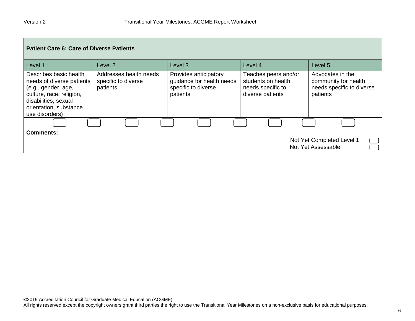| <b>Patient Care 6: Care of Diverse Patients</b>                                                                                                                            |                                                           |                                                                                       |                                                                                     |                                                                                   |  |
|----------------------------------------------------------------------------------------------------------------------------------------------------------------------------|-----------------------------------------------------------|---------------------------------------------------------------------------------------|-------------------------------------------------------------------------------------|-----------------------------------------------------------------------------------|--|
| Level 1                                                                                                                                                                    | Level 2                                                   | Level <sub>3</sub>                                                                    | Level 4                                                                             | Level 5                                                                           |  |
| Describes basic health<br>needs of diverse patients<br>(e.g., gender, age,<br>culture, race, religion,<br>disabilities, sexual<br>orientation, substance<br>use disorders) | Addresses health needs<br>specific to diverse<br>patients | Provides anticipatory<br>guidance for health needs<br>specific to diverse<br>patients | Teaches peers and/or<br>students on health<br>needs specific to<br>diverse patients | Advocates in the<br>community for health<br>needs specific to diverse<br>patients |  |
|                                                                                                                                                                            |                                                           |                                                                                       |                                                                                     |                                                                                   |  |
| <b>Comments:</b>                                                                                                                                                           |                                                           |                                                                                       |                                                                                     | Not Yet Completed Level 1<br>Not Yet Assessable                                   |  |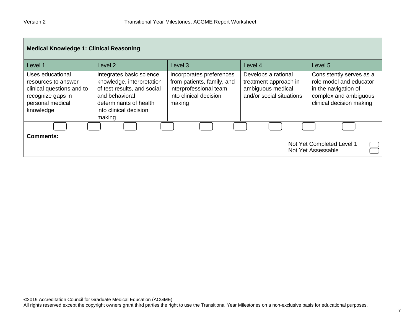| <b>Medical Knowledge 1: Clinical Reasoning</b>                                                                             |                                                                                                                                                                      |                                                                                                                      |                                                                                               |                                                                                                                                  |
|----------------------------------------------------------------------------------------------------------------------------|----------------------------------------------------------------------------------------------------------------------------------------------------------------------|----------------------------------------------------------------------------------------------------------------------|-----------------------------------------------------------------------------------------------|----------------------------------------------------------------------------------------------------------------------------------|
| Level 1                                                                                                                    | Level <sub>2</sub>                                                                                                                                                   | Level <sub>3</sub>                                                                                                   | Level 4                                                                                       | Level 5                                                                                                                          |
| Uses educational<br>resources to answer<br>clinical questions and to<br>recognize gaps in<br>personal medical<br>knowledge | Integrates basic science<br>knowledge, interpretation<br>of test results, and social<br>and behavioral<br>determinants of health<br>into clinical decision<br>making | Incorporates preferences<br>from patients, family, and<br>interprofessional team<br>into clinical decision<br>making | Develops a rational<br>treatment approach in<br>ambiguous medical<br>and/or social situations | Consistently serves as a<br>role model and educator<br>in the navigation of<br>complex and ambiguous<br>clinical decision making |
|                                                                                                                            |                                                                                                                                                                      |                                                                                                                      |                                                                                               |                                                                                                                                  |
| <b>Comments:</b><br>Not Yet Completed Level 1<br>Not Yet Assessable                                                        |                                                                                                                                                                      |                                                                                                                      |                                                                                               |                                                                                                                                  |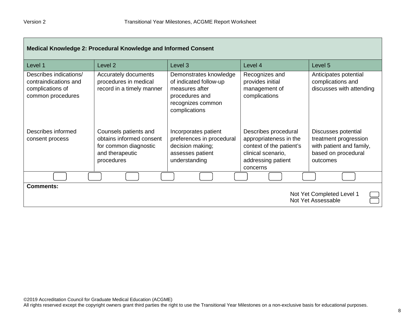| Medical Knowledge 2: Procedural Knowledge and Informed Consent                           |                                                                                                             |                                                                                                                            |                                                                                                                                    |                                                                                                             |
|------------------------------------------------------------------------------------------|-------------------------------------------------------------------------------------------------------------|----------------------------------------------------------------------------------------------------------------------------|------------------------------------------------------------------------------------------------------------------------------------|-------------------------------------------------------------------------------------------------------------|
| Level 1                                                                                  | Level <sub>2</sub>                                                                                          | Level 3                                                                                                                    | Level 4                                                                                                                            | Level 5                                                                                                     |
| Describes indications/<br>contraindications and<br>complications of<br>common procedures | Accurately documents<br>procedures in medical<br>record in a timely manner                                  | Demonstrates knowledge<br>of indicated follow-up<br>measures after<br>procedures and<br>recognizes common<br>complications | Recognizes and<br>provides initial<br>management of<br>complications                                                               | Anticipates potential<br>complications and<br>discusses with attending                                      |
| Describes informed<br>consent process                                                    | Counsels patients and<br>obtains informed consent<br>for common diagnostic<br>and therapeutic<br>procedures | Incorporates patient<br>preferences in procedural<br>decision making;<br>assesses patient<br>understanding                 | Describes procedural<br>appropriateness in the<br>context of the patient's<br>clinical scenario,<br>addressing patient<br>concerns | Discusses potential<br>treatment progression<br>with patient and family,<br>based on procedural<br>outcomes |
|                                                                                          |                                                                                                             |                                                                                                                            |                                                                                                                                    |                                                                                                             |
| <b>Comments:</b>                                                                         |                                                                                                             |                                                                                                                            |                                                                                                                                    | Not Yet Completed Level 1<br>Not Yet Assessable                                                             |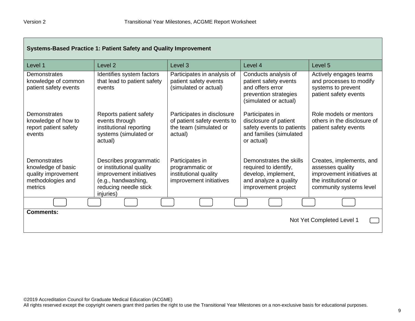| Systems-Based Practice 1: Patient Safety and Quality Improvement                          |                                                                                                                                            |                                                                                                |                                                                                                                         |                                                                                                                               |
|-------------------------------------------------------------------------------------------|--------------------------------------------------------------------------------------------------------------------------------------------|------------------------------------------------------------------------------------------------|-------------------------------------------------------------------------------------------------------------------------|-------------------------------------------------------------------------------------------------------------------------------|
| Level 1                                                                                   | Level 2                                                                                                                                    | Level <sub>3</sub>                                                                             | Level 4                                                                                                                 | Level <sub>5</sub>                                                                                                            |
| Demonstrates<br>knowledge of common<br>patient safety events                              | Identifies system factors<br>that lead to patient safety<br>events                                                                         | Participates in analysis of<br>patient safety events<br>(simulated or actual)                  | Conducts analysis of<br>patient safety events<br>and offers error<br>prevention strategies<br>(simulated or actual)     | Actively engages teams<br>and processes to modify<br>systems to prevent<br>patient safety events                              |
| Demonstrates<br>knowledge of how to<br>report patient safety<br>events                    | Reports patient safety<br>events through<br>institutional reporting<br>systems (simulated or<br>actual)                                    | Participates in disclosure<br>of patient safety events to<br>the team (simulated or<br>actual) | Participates in<br>disclosure of patient<br>safety events to patients<br>and families (simulated<br>or actual)          | Role models or mentors<br>others in the disclosure of<br>patient safety events                                                |
| Demonstrates<br>knowledge of basic<br>quality improvement<br>methodologies and<br>metrics | Describes programmatic<br>or institutional quality<br>improvement initiatives<br>(e.g., handwashing,<br>reducing needle stick<br>injuries) | Participates in<br>programmatic or<br>institutional quality<br>improvement initiatives         | Demonstrates the skills<br>required to identify,<br>develop, implement,<br>and analyze a quality<br>improvement project | Creates, implements, and<br>assesses quality<br>improvement initiatives at<br>the institutional or<br>community systems level |
|                                                                                           |                                                                                                                                            |                                                                                                |                                                                                                                         |                                                                                                                               |
| <b>Comments:</b><br>Not Yet Completed Level 1                                             |                                                                                                                                            |                                                                                                |                                                                                                                         |                                                                                                                               |

 $\overline{\phantom{0}}$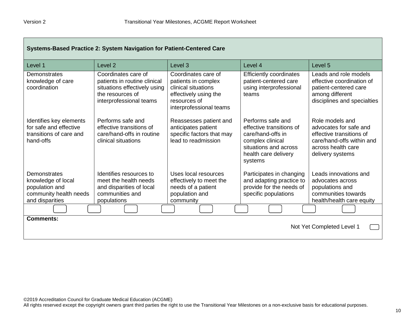г

| Systems-Based Practice 2: System Navigation for Patient-Centered Care                     |                                                                                                                                    |                                                                                                                                       |                                                                                                                                                    |                                                                                                                                              |
|-------------------------------------------------------------------------------------------|------------------------------------------------------------------------------------------------------------------------------------|---------------------------------------------------------------------------------------------------------------------------------------|----------------------------------------------------------------------------------------------------------------------------------------------------|----------------------------------------------------------------------------------------------------------------------------------------------|
| Level 1                                                                                   | Level <sub>2</sub>                                                                                                                 | Level <sub>3</sub>                                                                                                                    | Level 4                                                                                                                                            | Level <sub>5</sub>                                                                                                                           |
| Demonstrates<br>knowledge of care<br>coordination                                         | Coordinates care of<br>patients in routine clinical<br>situations effectively using<br>the resources of<br>interprofessional teams | Coordinates care of<br>patients in complex<br>clinical situations<br>effectively using the<br>resources of<br>interprofessional teams | <b>Efficiently coordinates</b><br>patient-centered care<br>using interprofessional<br>teams                                                        | Leads and role models<br>effective coordination of<br>patient-centered care<br>among different<br>disciplines and specialties                |
| Identifies key elements<br>for safe and effective<br>transitions of care and<br>hand-offs | Performs safe and<br>effective transitions of<br>care/hand-offs in routine<br>clinical situations                                  | Reassesses patient and<br>anticipates patient<br>specific factors that may<br>lead to readmission                                     | Performs safe and<br>effective transitions of<br>care/hand-offs in<br>complex clinical<br>situations and across<br>health care delivery<br>systems | Role models and<br>advocates for safe and<br>effective transitions of<br>care/hand-offs within and<br>across health care<br>delivery systems |
| Demonstrates                                                                              | Identifies resources to<br>meet the health needs                                                                                   | Uses local resources                                                                                                                  | Participates in changing                                                                                                                           | Leads innovations and<br>advocates across                                                                                                    |
| knowledge of local<br>population and                                                      | and disparities of local                                                                                                           | effectively to meet the<br>needs of a patient                                                                                         | and adapting practice to<br>provide for the needs of                                                                                               | populations and                                                                                                                              |
| community health needs<br>and disparities                                                 | communities and<br>populations                                                                                                     | population and<br>community                                                                                                           | specific populations                                                                                                                               | communities towards<br>health/health care equity                                                                                             |
|                                                                                           |                                                                                                                                    |                                                                                                                                       |                                                                                                                                                    |                                                                                                                                              |
| <b>Comments:</b><br>Not Yet Completed Level 1                                             |                                                                                                                                    |                                                                                                                                       |                                                                                                                                                    |                                                                                                                                              |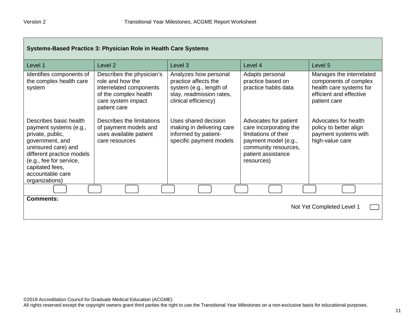| Systems-Based Practice 3: Physician Role in Health Care Systems                                                                                                                                                                 |                                                                                                                                         |                                                                                                                              |                                                                                                                                                             |                                                                                                                         |
|---------------------------------------------------------------------------------------------------------------------------------------------------------------------------------------------------------------------------------|-----------------------------------------------------------------------------------------------------------------------------------------|------------------------------------------------------------------------------------------------------------------------------|-------------------------------------------------------------------------------------------------------------------------------------------------------------|-------------------------------------------------------------------------------------------------------------------------|
| Level 1                                                                                                                                                                                                                         | Level <sub>2</sub>                                                                                                                      | Level <sub>3</sub>                                                                                                           | Level 4                                                                                                                                                     | Level 5                                                                                                                 |
| Identifies components of<br>the complex health care<br>system                                                                                                                                                                   | Describes the physician's<br>role and how the<br>interrelated components<br>of the complex health<br>care system impact<br>patient care | Analyzes how personal<br>practice affects the<br>system (e.g., length of<br>stay, readmission rates,<br>clinical efficiency) | Adapts personal<br>practice based on<br>practice habits data                                                                                                | Manages the interrelated<br>components of complex<br>health care systems for<br>efficient and effective<br>patient care |
| Describes basic health<br>payment systems (e.g.,<br>private, public,<br>government, and<br>uninsured care) and<br>different practice models<br>(e.g., fee for service,<br>capitated fees,<br>accountable care<br>organizations) | Describes the limitations<br>of payment models and<br>uses available patient<br>care resources                                          | Uses shared decision<br>making in delivering care<br>informed by patient-<br>specific payment models                         | Advocates for patient<br>care incorporating the<br>limitations of their<br>payment model (e.g.,<br>community resources,<br>patient assistance<br>resources) | Advocates for health<br>policy to better align<br>payment systems with<br>high-value care                               |
|                                                                                                                                                                                                                                 |                                                                                                                                         |                                                                                                                              |                                                                                                                                                             |                                                                                                                         |
| Comments:<br>Not Yet Completed Level 1                                                                                                                                                                                          |                                                                                                                                         |                                                                                                                              |                                                                                                                                                             |                                                                                                                         |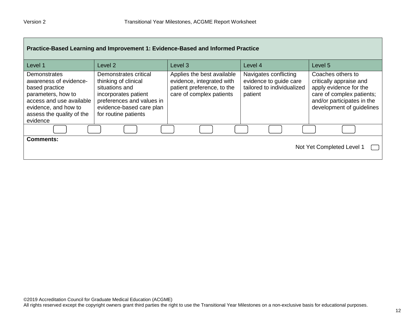| Practice-Based Learning and Improvement 1: Evidence-Based and Informed Practice                                                                                                    |                                                                                                                                                                          |                                                                                                                   |                                                                                          |                                                                                                                                                                |  |
|------------------------------------------------------------------------------------------------------------------------------------------------------------------------------------|--------------------------------------------------------------------------------------------------------------------------------------------------------------------------|-------------------------------------------------------------------------------------------------------------------|------------------------------------------------------------------------------------------|----------------------------------------------------------------------------------------------------------------------------------------------------------------|--|
| Level 1                                                                                                                                                                            | Level 2                                                                                                                                                                  | Level <sub>3</sub>                                                                                                | Level 4                                                                                  | Level 5                                                                                                                                                        |  |
| <b>Demonstrates</b><br>awareness of evidence-<br>based practice<br>parameters, how to<br>access and use available<br>evidence, and how to<br>assess the quality of the<br>evidence | Demonstrates critical<br>thinking of clinical<br>situations and<br>incorporates patient<br>preferences and values in<br>evidence-based care plan<br>for routine patients | Applies the best available<br>evidence, integrated with<br>patient preference, to the<br>care of complex patients | Navigates conflicting<br>evidence to guide care<br>tailored to individualized<br>patient | Coaches others to<br>critically appraise and<br>apply evidence for the<br>care of complex patients;<br>and/or participates in the<br>development of guidelines |  |
|                                                                                                                                                                                    |                                                                                                                                                                          |                                                                                                                   |                                                                                          |                                                                                                                                                                |  |
| <b>Comments:</b><br>Not Yet Completed Level 1                                                                                                                                      |                                                                                                                                                                          |                                                                                                                   |                                                                                          |                                                                                                                                                                |  |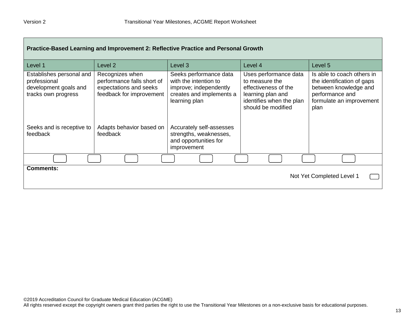| Practice-Based Learning and Improvement 2: Reflective Practice and Personal Growth       |                                                                                                     |                                                                                                                        |                                                                                                                                        |                                                                                                                                          |  |
|------------------------------------------------------------------------------------------|-----------------------------------------------------------------------------------------------------|------------------------------------------------------------------------------------------------------------------------|----------------------------------------------------------------------------------------------------------------------------------------|------------------------------------------------------------------------------------------------------------------------------------------|--|
| Level 1                                                                                  | Level 2                                                                                             | Level 3                                                                                                                | Level 4                                                                                                                                | Level 5                                                                                                                                  |  |
| Establishes personal and<br>professional<br>development goals and<br>tracks own progress | Recognizes when<br>performance falls short of<br>expectations and seeks<br>feedback for improvement | Seeks performance data<br>with the intention to<br>improve; independently<br>creates and implements a<br>learning plan | Uses performance data<br>to measure the<br>effectiveness of the<br>learning plan and<br>identifies when the plan<br>should be modified | Is able to coach others in<br>the identification of gaps<br>between knowledge and<br>performance and<br>formulate an improvement<br>plan |  |
| Seeks and is receptive to<br>feedback                                                    | Adapts behavior based on<br>feedback                                                                | Accurately self-assesses<br>strengths, weaknesses,<br>and opportunities for<br>improvement                             |                                                                                                                                        |                                                                                                                                          |  |
|                                                                                          |                                                                                                     |                                                                                                                        |                                                                                                                                        |                                                                                                                                          |  |
| <b>Comments:</b><br>Not Yet Completed Level 1                                            |                                                                                                     |                                                                                                                        |                                                                                                                                        |                                                                                                                                          |  |

ш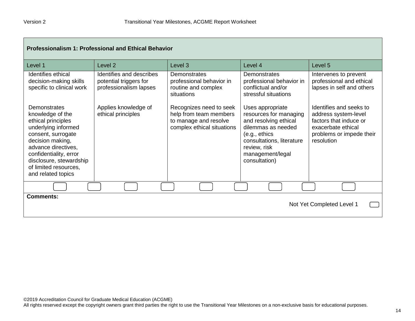| <b>Professionalism 1: Professional and Ethical Behavior</b>                                                                                                                                                                                        |                                                                              |                                                                                                          |                                                                                                                                                                                               |                                                                                                                                           |  |
|----------------------------------------------------------------------------------------------------------------------------------------------------------------------------------------------------------------------------------------------------|------------------------------------------------------------------------------|----------------------------------------------------------------------------------------------------------|-----------------------------------------------------------------------------------------------------------------------------------------------------------------------------------------------|-------------------------------------------------------------------------------------------------------------------------------------------|--|
| Level 1                                                                                                                                                                                                                                            | Level <sub>2</sub>                                                           | Level <sub>3</sub>                                                                                       | Level 4                                                                                                                                                                                       | Level 5                                                                                                                                   |  |
| Identifies ethical<br>decision-making skills<br>specific to clinical work                                                                                                                                                                          | Identifies and describes<br>potential triggers for<br>professionalism lapses | Demonstrates<br>professional behavior in<br>routine and complex<br>situations                            | Demonstrates<br>professional behavior in<br>conflictual and/or<br>stressful situations                                                                                                        | Intervenes to prevent<br>professional and ethical<br>lapses in self and others                                                            |  |
| Demonstrates<br>knowledge of the<br>ethical principles<br>underlying informed<br>consent, surrogate<br>decision making,<br>advance directives.<br>confidentiality, error<br>disclosure, stewardship<br>of limited resources,<br>and related topics | Applies knowledge of<br>ethical principles                                   | Recognizes need to seek<br>help from team members<br>to manage and resolve<br>complex ethical situations | Uses appropriate<br>resources for managing<br>and resolving ethical<br>dilemmas as needed<br>(e.g., ethics)<br>consultations, literature<br>review, risk<br>management/legal<br>consultation) | Identifies and seeks to<br>address system-level<br>factors that induce or<br>exacerbate ethical<br>problems or impede their<br>resolution |  |
|                                                                                                                                                                                                                                                    |                                                                              |                                                                                                          |                                                                                                                                                                                               |                                                                                                                                           |  |
| <b>Comments:</b><br>Not Yet Completed Level 1                                                                                                                                                                                                      |                                                                              |                                                                                                          |                                                                                                                                                                                               |                                                                                                                                           |  |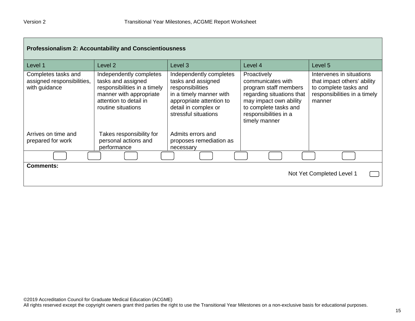г

| <b>Professionalism 2: Accountability and Conscientiousness</b>     |                                                                                                                                                          |                                                                                                                                                                          |                                                                                                                                                                                     |                                                                                                                            |  |
|--------------------------------------------------------------------|----------------------------------------------------------------------------------------------------------------------------------------------------------|--------------------------------------------------------------------------------------------------------------------------------------------------------------------------|-------------------------------------------------------------------------------------------------------------------------------------------------------------------------------------|----------------------------------------------------------------------------------------------------------------------------|--|
| Level 1                                                            | Level <sub>2</sub>                                                                                                                                       | Level <sub>3</sub>                                                                                                                                                       | Level 4                                                                                                                                                                             | Level <sub>5</sub>                                                                                                         |  |
| Completes tasks and<br>assigned responsibilities,<br>with guidance | Independently completes<br>tasks and assigned<br>responsibilities in a timely<br>manner with appropriate<br>attention to detail in<br>routine situations | Independently completes<br>tasks and assigned<br>responsibilities<br>in a timely manner with<br>appropriate attention to<br>detail in complex or<br>stressful situations | Proactively<br>communicates with<br>program staff members<br>regarding situations that<br>may impact own ability<br>to complete tasks and<br>responsibilities in a<br>timely manner | Intervenes in situations<br>that impact others' ability<br>to complete tasks and<br>responsibilities in a timely<br>manner |  |
| Arrives on time and<br>prepared for work                           | Takes responsibility for<br>personal actions and<br>performance                                                                                          | Admits errors and<br>proposes remediation as<br>necessary                                                                                                                |                                                                                                                                                                                     |                                                                                                                            |  |
|                                                                    |                                                                                                                                                          |                                                                                                                                                                          |                                                                                                                                                                                     |                                                                                                                            |  |
| <b>Comments:</b>                                                   |                                                                                                                                                          |                                                                                                                                                                          |                                                                                                                                                                                     | Not Yet Completed Level 1                                                                                                  |  |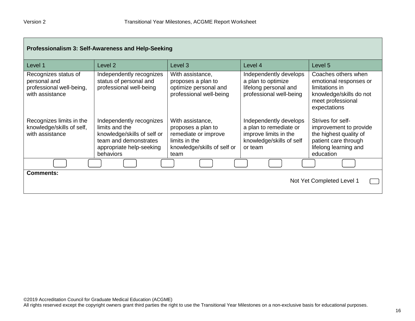| Professionalism 3: Self-Awareness and Help-Seeking                                  |                                                                                                                                                    |                                                                                                                        |                                                                                                                  |                                                                                                                                     |  |
|-------------------------------------------------------------------------------------|----------------------------------------------------------------------------------------------------------------------------------------------------|------------------------------------------------------------------------------------------------------------------------|------------------------------------------------------------------------------------------------------------------|-------------------------------------------------------------------------------------------------------------------------------------|--|
| Level 1                                                                             | Level <sub>2</sub>                                                                                                                                 | Level <sub>3</sub>                                                                                                     | Level 4                                                                                                          | Level 5                                                                                                                             |  |
| Recognizes status of<br>personal and<br>professional well-being,<br>with assistance | Independently recognizes<br>status of personal and<br>professional well-being                                                                      | With assistance,<br>proposes a plan to<br>optimize personal and<br>professional well-being                             | Independently develops<br>a plan to optimize<br>lifelong personal and<br>professional well-being                 | Coaches others when<br>emotional responses or<br>limitations in<br>knowledge/skills do not<br>meet professional<br>expectations     |  |
| Recognizes limits in the<br>knowledge/skills of self,<br>with assistance            | Independently recognizes<br>limits and the<br>knowledge/skills of self or<br>team and demonstrates<br>appropriate help-seeking<br><b>behaviors</b> | With assistance,<br>proposes a plan to<br>remediate or improve<br>limits in the<br>knowledge/skills of self or<br>team | Independently develops<br>a plan to remediate or<br>improve limits in the<br>knowledge/skills of self<br>or team | Strives for self-<br>improvement to provide<br>the highest quality of<br>patient care through<br>lifelong learning and<br>education |  |
|                                                                                     |                                                                                                                                                    |                                                                                                                        |                                                                                                                  |                                                                                                                                     |  |
| <b>Comments:</b><br>Not Yet Completed Level 1                                       |                                                                                                                                                    |                                                                                                                        |                                                                                                                  |                                                                                                                                     |  |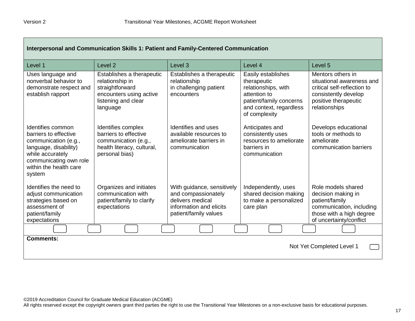| Interpersonal and Communication Skills 1: Patient and Family-Centered Communication                                                                                           |                                                                                                                               |                                                                                                                           |                                                                                                                                                 |                                                                                                                                                |  |
|-------------------------------------------------------------------------------------------------------------------------------------------------------------------------------|-------------------------------------------------------------------------------------------------------------------------------|---------------------------------------------------------------------------------------------------------------------------|-------------------------------------------------------------------------------------------------------------------------------------------------|------------------------------------------------------------------------------------------------------------------------------------------------|--|
| Level 1                                                                                                                                                                       | Level 2                                                                                                                       | Level 3                                                                                                                   | Level 4                                                                                                                                         | Level 5                                                                                                                                        |  |
| Uses language and<br>nonverbal behavior to<br>demonstrate respect and<br>establish rapport                                                                                    | Establishes a therapeutic<br>relationship in<br>straightforward<br>encounters using active<br>listening and clear<br>language | Establishes a therapeutic<br>relationship<br>in challenging patient<br>encounters                                         | Easily establishes<br>therapeutic<br>relationships, with<br>attention to<br>patient/family concerns<br>and context, regardless<br>of complexity | Mentors others in<br>situational awareness and<br>critical self-reflection to<br>consistently develop<br>positive therapeutic<br>relationships |  |
| Identifies common<br>barriers to effective<br>communication (e.g.,<br>language, disability)<br>while accurately<br>communicating own role<br>within the health care<br>system | Identifies complex<br>barriers to effective<br>communication (e.g.,<br>health literacy, cultural,<br>personal bias)           | Identifies and uses<br>available resources to<br>ameliorate barriers in<br>communication                                  | Anticipates and<br>consistently uses<br>resources to ameliorate<br>barriers in<br>communication                                                 | Develops educational<br>tools or methods to<br>ameliorate<br>communication barriers                                                            |  |
| Identifies the need to<br>adjust communication<br>strategies based on<br>assessment of<br>patient/family<br>expectations                                                      | Organizes and initiates<br>communication with<br>patient/family to clarify<br>expectations                                    | With guidance, sensitively<br>and compassionately<br>delivers medical<br>information and elicits<br>patient/family values | Independently, uses<br>shared decision making<br>to make a personalized<br>care plan                                                            | Role models shared<br>decision making in<br>patient/family<br>communication, including<br>those with a high degree<br>of uncertainty/conflict  |  |
|                                                                                                                                                                               |                                                                                                                               |                                                                                                                           |                                                                                                                                                 |                                                                                                                                                |  |
| <b>Comments:</b><br>Not Yet Completed Level 1                                                                                                                                 |                                                                                                                               |                                                                                                                           |                                                                                                                                                 |                                                                                                                                                |  |

All rights reserved except the copyright owners grant third parties the right to use the Transitional Year Milestones on a non-exclusive basis for educational purposes.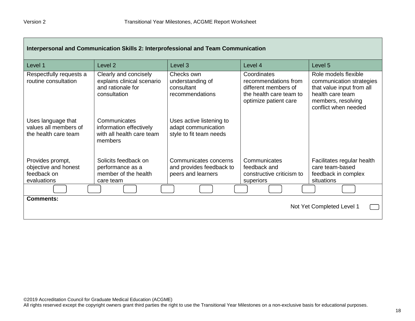| Interpersonal and Communication Skills 2: Interprofessional and Team Communication |                                                                                          |                                                                            |                                                                                                                 |                                                                                                                                                 |  |
|------------------------------------------------------------------------------------|------------------------------------------------------------------------------------------|----------------------------------------------------------------------------|-----------------------------------------------------------------------------------------------------------------|-------------------------------------------------------------------------------------------------------------------------------------------------|--|
| Level 1                                                                            | Level 2                                                                                  | Level 3                                                                    | Level 4                                                                                                         | Level 5                                                                                                                                         |  |
| Respectfully requests a<br>routine consultation                                    | Clearly and concisely<br>explains clinical scenario<br>and rationale for<br>consultation | Checks own<br>understanding of<br>consultant<br>recommendations            | Coordinates<br>recommendations from<br>different members of<br>the health care team to<br>optimize patient care | Role models flexible<br>communication strategies<br>that value input from all<br>health care team<br>members, resolving<br>conflict when needed |  |
| Uses language that<br>values all members of<br>the health care team                | Communicates<br>information effectively<br>with all health care team<br>members          | Uses active listening to<br>adapt communication<br>style to fit team needs |                                                                                                                 |                                                                                                                                                 |  |
| Provides prompt,<br>objective and honest<br>feedback on<br>evaluations             | Solicits feedback on<br>performance as a<br>member of the health<br>care team            | Communicates concerns<br>and provides feedback to<br>peers and learners    | Communicates<br>feedback and<br>constructive criticism to<br>superiors                                          | Facilitates regular health<br>care team-based<br>feedback in complex<br>situations                                                              |  |
|                                                                                    |                                                                                          |                                                                            |                                                                                                                 |                                                                                                                                                 |  |
| <b>Comments:</b>                                                                   |                                                                                          |                                                                            |                                                                                                                 | Not Yet Completed Level 1                                                                                                                       |  |